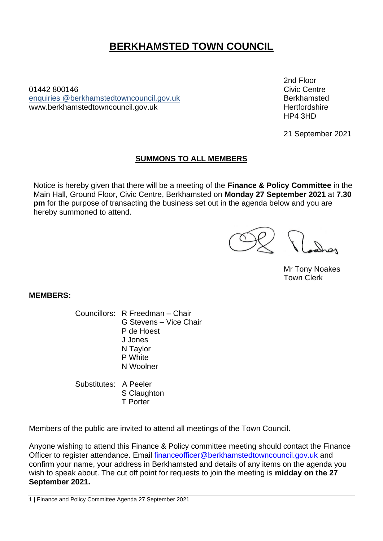# **BERKHAMSTED TOWN COUNCIL**

01442 800146Civic Centre enquiries [@berkhamstedtowncouncil.gov.uk](mailto:berkhamsted.towncouncil@dacorum.gov.uk) Berkhamsted www.berkhamstedtowncouncil.gov.uk https://www.berkhamstedtowncouncil.gov.uk

2nd Floor HP4 3HD

21 September 2021

# **SUMMONS TO ALL MEMBERS**

Notice is hereby given that there will be a meeting of the **Finance & Policy Committee** in the Main Hall, Ground Floor, Civic Centre, Berkhamsted on **Monday 27 September 2021** at **7.30 pm** for the purpose of transacting the business set out in the agenda below and you are hereby summoned to attend.

Mr Tony Noakes Town Clerk

**MEMBERS:**

Councillors: R Freedman – Chair G Stevens – Vice Chair P de Hoest J Jones N Taylor P White N Woolner

Substitutes: A Peeler S Claughton T Porter

Members of the public are invited to attend all meetings of the Town Council.

Anyone wishing to attend this Finance & Policy committee meeting should contact the Finance Officer to register attendance. Email [financeofficer@berkhamstedtowncouncil.gov.uk](mailto:financeofficer@berkhamstedtowncouncil.gov.uk) and confirm your name, your address in Berkhamsted and details of any items on the agenda you wish to speak about. The cut off point for requests to join the meeting is **midday on the 27 September 2021.**